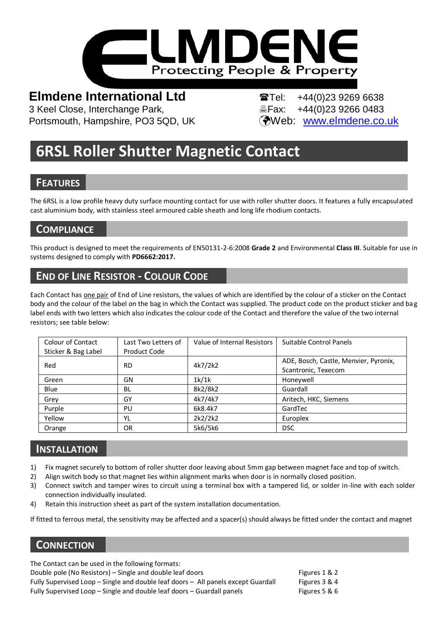

Portsmouth, Hampshire, PO3 5QD, UK (Web: [www.elmdene.co.uk](http://www.elmdene.co.uk/)

**Elmdene International Ltd Tel:** +44(0)23 9269 6638<br>3 Keel Close, Interchange Park. **Tel:** EFax: +44(0)23 9266 0483 **凸Fax: +44(0)23 9266 0483** 

# **6RSL Roller Shutter Magnetic Contact**

## **FEATURES**

The 6RSL is a low profile heavy duty surface mounting contact for use with roller shutter doors. It features a fully encapsulated cast aluminium body, with stainless steel armoured cable sheath and long life rhodium contacts.

## **COMPLIANCE**

This product is designed to meet the requirements of EN50131-2-6:2008 **Grade 2** and Environmental **Class III**. Suitable for use in systems designed to comply with **PD6662:2017.**

## **END OF LINE RESISTOR - COLOUR CODE**

Each Contact has one pair of End of Line resistors, the values of which are identified by the colour of a sticker on the Contact body and the colour of the label on the bag in which the Contact was supplied. The product code on the product sticker and bag label ends with two letters which also indicates the colour code of the Contact and therefore the value of the two internal resistors; see table below:

| Colour of Contact   | Last Two Letters of | Value of Internal Resistors | Suitable Control Panels               |
|---------------------|---------------------|-----------------------------|---------------------------------------|
| Sticker & Bag Label | Product Code        |                             |                                       |
| Red                 | <b>RD</b>           | 4k7/2k2                     | ADE, Bosch, Castle, Menvier, Pyronix, |
|                     |                     |                             | Scantronic, Texecom                   |
| Green               | GN                  | 1k/1k                       | Honeywell                             |
| Blue                | <b>BL</b>           | 8k2/8k2                     | Guardall                              |
| Grey                | GY                  | 4k7/4k7                     | Aritech, HKC, Siemens                 |
| Purple              | PU                  | 6k8.4k7                     | GardTec                               |
| Yellow              | YL                  | 2k2/2k2                     | Europlex                              |
| Orange              | <b>OR</b>           | 5k6/5k6                     | <b>DSC</b>                            |

## **INSTALLATION**

- 1) Fix magnet securely to bottom of roller shutter door leaving about 5mm gap between magnet face and top of switch.
- 2) Align switch body so that magnet lies within alignment marks when door is in normally closed position.
- 3) Connect switch and tamper wires to circuit using a terminal box with a tampered lid, or solder in-line with each solder connection individually insulated.
- 4) Retain this instruction sheet as part of the system installation documentation.

If fitted to ferrous metal, the sensitivity may be affected and a spacer(s) should always be fitted under the contact and magnet

## **CONNECTION**

The Contact can be used in the following formats:

Double pole (No Resistors) – Single and double leaf doors Figures 1 & 2 Fully Supervised Loop - Single and double leaf doors - All panels except Guardall Figures 3 & 4 Fully Supervised Loop – Single and double leaf doors – Guardall panels Friends Figures 5 & 6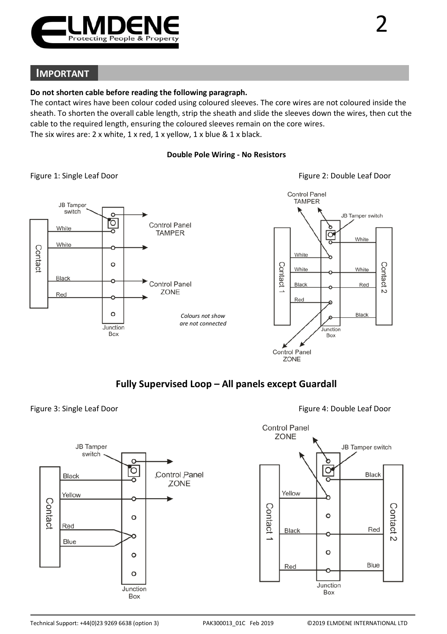

## **IMPORTANT**

### **Do not shorten cable before reading the following paragraph.**

The contact wires have been colour coded using coloured sleeves. The core wires are not coloured inside the sheath. To shorten the overall cable length, strip the sheath and slide the sleeves down the wires, then cut the cable to the required length, ensuring the coloured sleeves remain on the core wires. The six wires are: 2 x white, 1 x red, 1 x yellow, 1 x blue & 1 x black.

### **Double Pole Wiring - No Resistors**



## **Fully Supervised Loop – All panels except Guardall**

### Figure 3: Single Leaf Door **Figure 4: Double Leaf Door** Figure 4: Double Leaf Door

Black

Yellow

Red

Blue

Contac

**JB** Tamper

switch

 $\epsilon$ 

ľō

 $\circ$ 

 $\Omega$ 

 $\circ$ 

Junction

Box

Control Panel

ZONE

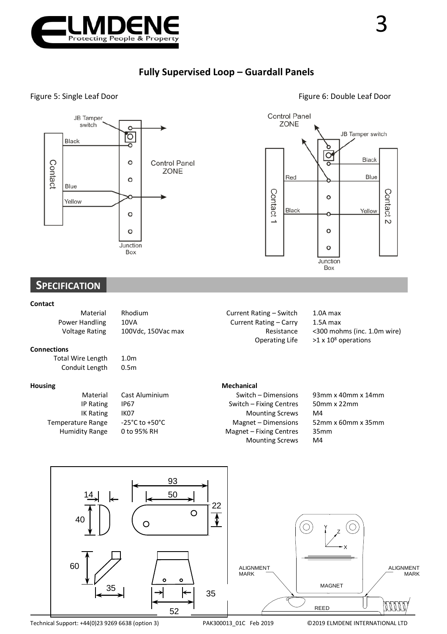





## **SPECIFICATION**

#### **Contact**

| Materia               |
|-----------------------|
| Power Handling        |
| <b>Voltage Rating</b> |

rial Rhodium **Current Rating – Switch** 1.0A max

Power Hating – Carry 1.5A max<br>100Vdc, 150Vac max 100Vdc, 150Vac max

<300 mohms (inc. 1.0m wire) Operating Life  $>1 \times 10^8$  operations

#### **Connections**

Total Wire Length 1.0m<br>Conduit Length 0.5m Conduit Length

**Housing Mechanical** Material Cast Aluminium Switch – Dimensions 93mm x 40mm x 14mm<br>IP Rating IP67 Switch – Fixing Centres 50mm x 22mm Switch – Fixing Centres IK Rating IK07 Mounting Screws M4<br>Temperature Range -25°C to +50°C Magnet – Dimensions 52n nperature Range -25°C to +50°C magnet – Dimensions 52mm x 60mm x 35mm<br>
Humidity Range 0 to 95% RH Magnet – Fixing Centres 35mm Magnet – Fixing Centres Mounting Screws M4



### Figure 5: Single Leaf Door **Figure 6: Double Leaf Door** Figure 6: Double Leaf Door